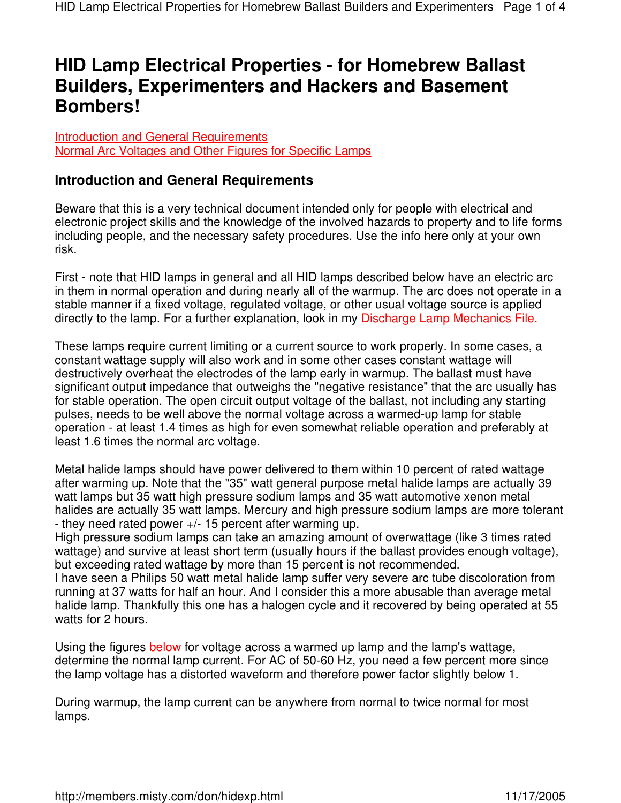## **HID Lamp Electrical Properties - for Homebrew Ballast Builders, Experimenters and Hackers and Basement Bombers!**

Introduction and General Requirements Normal Arc Voltages and Other Figures for Specific Lamps

## **Introduction and General Requirements**

Beware that this is a very technical document intended only for people with electrical and electronic project skills and the knowledge of the involved hazards to property and to life forms including people, and the necessary safety procedures. Use the info here only at your own risk.

First - note that HID lamps in general and all HID lamps described below have an electric arc in them in normal operation and during nearly all of the warmup. The arc does not operate in a stable manner if a fixed voltage, regulated voltage, or other usual voltage source is applied directly to the lamp. For a further explanation, look in my Discharge Lamp Mechanics File.

These lamps require current limiting or a current source to work properly. In some cases, a constant wattage supply will also work and in some other cases constant wattage will destructively overheat the electrodes of the lamp early in warmup. The ballast must have significant output impedance that outweighs the "negative resistance" that the arc usually has for stable operation. The open circuit output voltage of the ballast, not including any starting pulses, needs to be well above the normal voltage across a warmed-up lamp for stable operation - at least 1.4 times as high for even somewhat reliable operation and preferably at least 1.6 times the normal arc voltage.

Metal halide lamps should have power delivered to them within 10 percent of rated wattage after warming up. Note that the "35" watt general purpose metal halide lamps are actually 39 watt lamps but 35 watt high pressure sodium lamps and 35 watt automotive xenon metal halides are actually 35 watt lamps. Mercury and high pressure sodium lamps are more tolerant - they need rated power +/- 15 percent after warming up.

High pressure sodium lamps can take an amazing amount of overwattage (like 3 times rated wattage) and survive at least short term (usually hours if the ballast provides enough voltage), but exceeding rated wattage by more than 15 percent is not recommended.

I have seen a Philips 50 watt metal halide lamp suffer very severe arc tube discoloration from running at 37 watts for half an hour. And I consider this a more abusable than average metal halide lamp. Thankfully this one has a halogen cycle and it recovered by being operated at 55 watts for 2 hours.

Using the figures below for voltage across a warmed up lamp and the lamp's wattage, determine the normal lamp current. For AC of 50-60 Hz, you need a few percent more since the lamp voltage has a distorted waveform and therefore power factor slightly below 1.

During warmup, the lamp current can be anywhere from normal to twice normal for most lamps.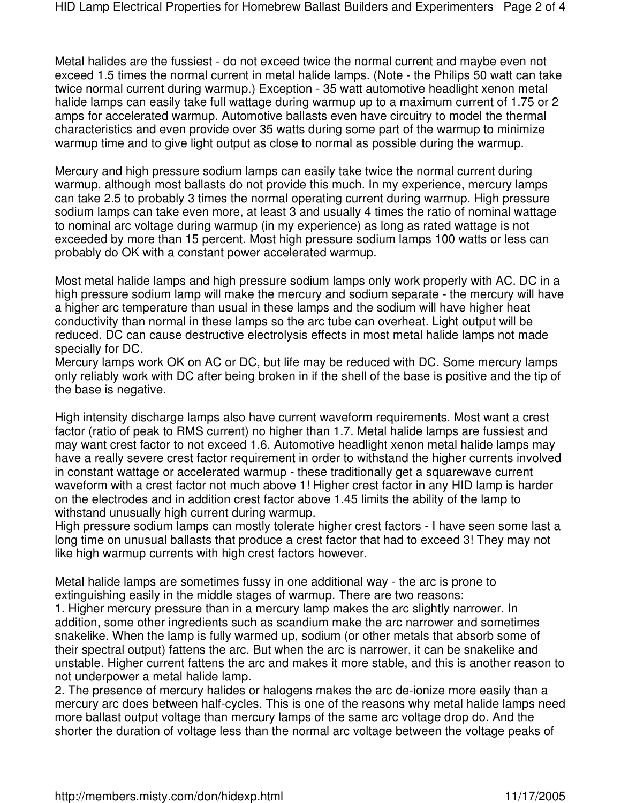Metal halides are the fussiest - do not exceed twice the normal current and maybe even not exceed 1.5 times the normal current in metal halide lamps. (Note - the Philips 50 watt can take twice normal current during warmup.) Exception - 35 watt automotive headlight xenon metal halide lamps can easily take full wattage during warmup up to a maximum current of 1.75 or 2 amps for accelerated warmup. Automotive ballasts even have circuitry to model the thermal characteristics and even provide over 35 watts during some part of the warmup to minimize warmup time and to give light output as close to normal as possible during the warmup.

Mercury and high pressure sodium lamps can easily take twice the normal current during warmup, although most ballasts do not provide this much. In my experience, mercury lamps can take 2.5 to probably 3 times the normal operating current during warmup. High pressure sodium lamps can take even more, at least 3 and usually 4 times the ratio of nominal wattage to nominal arc voltage during warmup (in my experience) as long as rated wattage is not exceeded by more than 15 percent. Most high pressure sodium lamps 100 watts or less can probably do OK with a constant power accelerated warmup.

Most metal halide lamps and high pressure sodium lamps only work properly with AC. DC in a high pressure sodium lamp will make the mercury and sodium separate - the mercury will have a higher arc temperature than usual in these lamps and the sodium will have higher heat conductivity than normal in these lamps so the arc tube can overheat. Light output will be reduced. DC can cause destructive electrolysis effects in most metal halide lamps not made specially for DC.

Mercury lamps work OK on AC or DC, but life may be reduced with DC. Some mercury lamps only reliably work with DC after being broken in if the shell of the base is positive and the tip of the base is negative.

High intensity discharge lamps also have current waveform requirements. Most want a crest factor (ratio of peak to RMS current) no higher than 1.7. Metal halide lamps are fussiest and may want crest factor to not exceed 1.6. Automotive headlight xenon metal halide lamps may have a really severe crest factor requirement in order to withstand the higher currents involved in constant wattage or accelerated warmup - these traditionally get a squarewave current waveform with a crest factor not much above 1! Higher crest factor in any HID lamp is harder on the electrodes and in addition crest factor above 1.45 limits the ability of the lamp to withstand unusually high current during warmup.

High pressure sodium lamps can mostly tolerate higher crest factors - I have seen some last a long time on unusual ballasts that produce a crest factor that had to exceed 3! They may not like high warmup currents with high crest factors however.

Metal halide lamps are sometimes fussy in one additional way - the arc is prone to extinguishing easily in the middle stages of warmup. There are two reasons:

1. Higher mercury pressure than in a mercury lamp makes the arc slightly narrower. In addition, some other ingredients such as scandium make the arc narrower and sometimes snakelike. When the lamp is fully warmed up, sodium (or other metals that absorb some of their spectral output) fattens the arc. But when the arc is narrower, it can be snakelike and unstable. Higher current fattens the arc and makes it more stable, and this is another reason to not underpower a metal halide lamp.

2. The presence of mercury halides or halogens makes the arc de-ionize more easily than a mercury arc does between half-cycles. This is one of the reasons why metal halide lamps need more ballast output voltage than mercury lamps of the same arc voltage drop do. And the shorter the duration of voltage less than the normal arc voltage between the voltage peaks of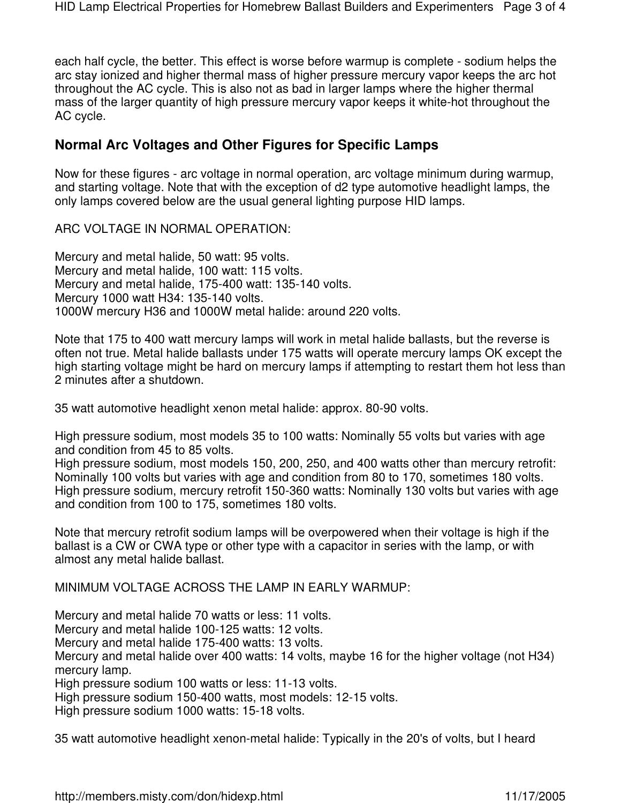each half cycle, the better. This effect is worse before warmup is complete - sodium helps the arc stay ionized and higher thermal mass of higher pressure mercury vapor keeps the arc hot throughout the AC cycle. This is also not as bad in larger lamps where the higher thermal mass of the larger quantity of high pressure mercury vapor keeps it white-hot throughout the AC cycle.

## **Normal Arc Voltages and Other Figures for Specific Lamps**

Now for these figures - arc voltage in normal operation, arc voltage minimum during warmup, and starting voltage. Note that with the exception of d2 type automotive headlight lamps, the only lamps covered below are the usual general lighting purpose HID lamps.

ARC VOLTAGE IN NORMAL OPERATION:

Mercury and metal halide, 50 watt: 95 volts. Mercury and metal halide, 100 watt: 115 volts. Mercury and metal halide, 175-400 watt: 135-140 volts. Mercury 1000 watt H34: 135-140 volts. 1000W mercury H36 and 1000W metal halide: around 220 volts.

Note that 175 to 400 watt mercury lamps will work in metal halide ballasts, but the reverse is often not true. Metal halide ballasts under 175 watts will operate mercury lamps OK except the high starting voltage might be hard on mercury lamps if attempting to restart them hot less than 2 minutes after a shutdown.

35 watt automotive headlight xenon metal halide: approx. 80-90 volts.

High pressure sodium, most models 35 to 100 watts: Nominally 55 volts but varies with age and condition from 45 to 85 volts.

High pressure sodium, most models 150, 200, 250, and 400 watts other than mercury retrofit: Nominally 100 volts but varies with age and condition from 80 to 170, sometimes 180 volts. High pressure sodium, mercury retrofit 150-360 watts: Nominally 130 volts but varies with age and condition from 100 to 175, sometimes 180 volts.

Note that mercury retrofit sodium lamps will be overpowered when their voltage is high if the ballast is a CW or CWA type or other type with a capacitor in series with the lamp, or with almost any metal halide ballast.

MINIMUM VOLTAGE ACROSS THE LAMP IN EARLY WARMUP:

Mercury and metal halide 70 watts or less: 11 volts.

Mercury and metal halide 100-125 watts: 12 volts.

Mercury and metal halide 175-400 watts: 13 volts.

Mercury and metal halide over 400 watts: 14 volts, maybe 16 for the higher voltage (not H34) mercury lamp.

High pressure sodium 100 watts or less: 11-13 volts.

High pressure sodium 150-400 watts, most models: 12-15 volts.

High pressure sodium 1000 watts: 15-18 volts.

35 watt automotive headlight xenon-metal halide: Typically in the 20's of volts, but I heard